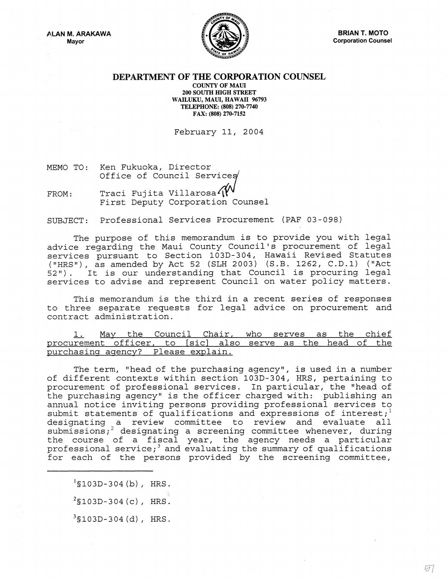A.LAN M. ARAKAWA Mayor



## DEPARTMENT OF **THE** CORPORATION COUNSEL

COUNTY OF MAUl 200 SOUTH HIGH STREET WAILUKU, MAUl, HAWAII 96793 TELEPHONE: (808) 270-7740 FAX: (808) 270-7152

February 11, 2004

MEMO TO: Ken Fukuoka, Director Office of Council Services

FROM: Traci Fujita Villarosa' W<br>First Deputy Corporation Counsel

SUBJECT: Professional Services Procurement (PAF 03-098)

The purpose of this memorandum is to provide you with legal advice regarding the Maui County Council's procurement of legal services pursuant to Section 103D-304, Hawaii Revised Statutes ("HRS"), as amended by Act 52 (SLH 2003) (S.B. 1262, C.D.1) ("Act 52") . It is our understanding that Council is procuring legal services to advise and represent Council on water policy matters.

This memorandum is the third in a recent series of responses to three separate requests for legal advice on procurement and contract administration.

1. May the Council Chair, who serves as the chief procurement officer, to [sic] also serve as the head of the purchasing agency? Please explain.

The term, "head of the purchasing agency", is used in a number of different contexts within section *103D-304 1 HRS <sup>1</sup>*pertaining to procurement of professional services. In particular, the "head of the purchasing agency" is the officer charged with: publishing an annual notice inviting persons providing professional services to submit statements of qualifications and expressions of interest;<sup>1</sup> designating a review committee to review and evaluate all submissions *i* 2 designating a screening committee whenever *1* during the course of a fiscal year, the agency needs a particular professional service;<sup>3</sup> and evaluating the summary of qualifications for each of the persons provided by the screening committee *<sup>1</sup>*

 $1$ §103D-304(b), HRS.  $^{2}$ \$103D-304 (c), HRS.  $3$ §103D-304 $(d)$ , HRS.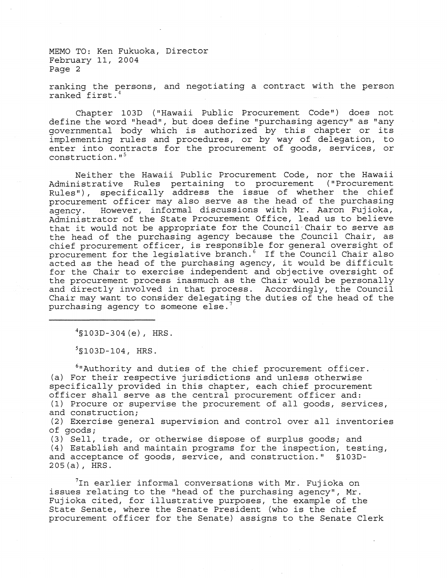ranking the persons, and negotiating a contract with the person ranked first. 4

Chapter 103D ("Hawaii Public Procurement Code") does not define the word "head", but does define "purchasing agency" as "any governmental body which is authorized by this chapter or its implementing rules and procedures, or by way of delegation, to enter into contracts for the procurement of goods, services, or construction. $15$ 

Neither the Hawaii Public Procurement Code, nor the Hawaii Administrative Rules pertaining to procurement ("Procurement Rules"), specifically address the issue of whether the chief procurement officer may also serve as the head of the purchasing<br>agency. However, informal discussions with Mr. Aaron Fujioka, However, informal discussions with Mr. Aaron Fujioka, Administrator of the State Procurement Office, lead us to believe that it would not be appropriate for the Council-Chair to serve as the head of the purchasing agency because the Council Chair, as chief procurement officer, is responsible for general oversight of procurement for the legislative branch.<sup>6</sup> If the Council Chair also acted as the head of the purchasing agency, it would be difficult for the Chair to exercise independent and objective oversight of the procurement process inasmuch as the Chair would be personally and directly involved in that process. Accordingly, the Council Chair may want to consider delegating the duties of the head of the purchasing agency to someone else.<sup>7</sup>

4§103D-304(e), HRS.

 $5$ §103D-104, HRS.

6"Authority and duties of the chief procurement officer. (a) For their respective jurisdictions and unless otherwise specifically provided in this chapter, each chief procurement officer shall serve as the central procurement officer and: (1) Procure or supervise the procurement of all goods, services, and construction;

(2) Exercise general supervision and control over all inventories of goods;

(3) Sell, trade, or otherwise dispose of surplus goods; and (4) Establish and maintain programs for the inspection, testing, and acceptance of goods, service, and construction." §103D-205(a), HRS.

7In earlier informal conversations with Mr. Fujioka on issues relating to the "head of the purchasing agency", Mr. Fujioka cited, for illustrative purposes, the example of the State Senate, where the Senate President (who is the chief procurement officer for the Senate) assigns to the Senate Clerk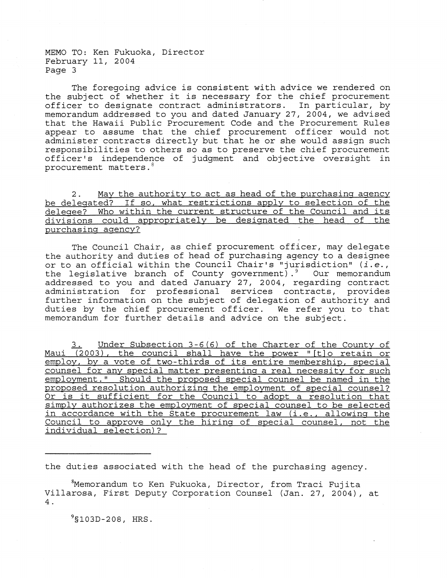The foregoing advice is consistent with advice we rendered on the subject of whether it is necessary for the chief procurement officer to designate contract administrators. In particular, by memorandum addressed to you and dated January 27, 2004, we advised that the Hawaii Public Procurement Code and the Procurement Rules appear to assume that the chief procurement officer would not administer contracts directly but that he or she would assign such responsibilities to others so as to preserve the chief procurement officer's independence of judgment and objective oversight in procurement matters.<sup>8</sup>

2. May the authority to act as head of the purchasing agency be delegated? If so, what restrictions apply to selection of the delegee? Who within the current structure of the Council and its divisions could appropriately be designated the head of the purchasing agency?

The Council Chair, as chief procurement officer, may delegate the authority and duties of head of purchasing agency to a designee or to an official within the Council Chair's "jurisdiction" *(i.e.,*  the legislative branch of County government).<sup>9</sup> Our memorandum addressed to you and dated January 27, 2004, regarding contract administration for professional services contracts, provides further information on the subject of delegation of authority and duties by the chief procurement officer. We refer you to that memorandum for further details and advice on the subject.

Under Subsection  $3-6(6)$  of the Charter of the County of Maui (2003), the council shall have the power "[t]o retain or employ, by a vote of two-thirds of its entire membership, special counsel for any special matter presenting a real necessity for such employment." Should the proposed special counsel be named in the proposed resolution authorizing the employment of special counsel? proposed resolution authorizing the employment of special counsel?<br>Or is it sufficient for the Council to adopt a resolution that simply authorizes the employment of special counsel to be selected in accordance with the State procurement law (i.e., allowing the Council to approve only the hiring of special counsel, not the individual selection)?

the duties associated with the head of the purchasing agency.

 $8$ Memorandum to Ken Fukuoka, Director, from Traci Fujita Villarosa, First Deputy Corporation Counsel (Jan. 27, 2004), at 4.

 $9$ §103D-208, HRS.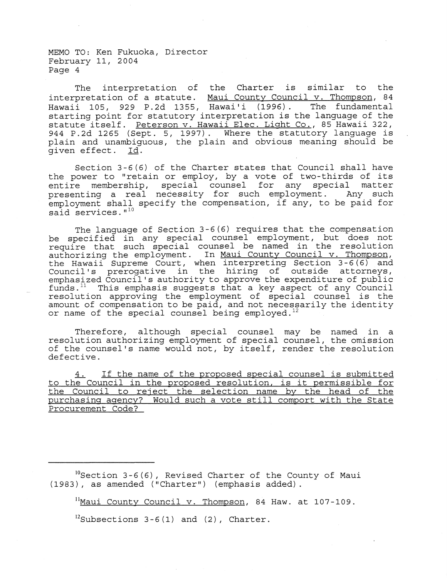The interpretation of the Charter is similar to the interpretation of a statute. Maui County Council v. Thompson, 84 Hawaii 105, 929 P.2d 1355, Hawai'i (1996). The fundamental starting point for statutory interpretation is the language of the statute itself. Peterson v. Hawaii Elec. Light Co., 85 Hawaii 322, 944 P.2d 1265 (Sept. 5, 1997). Where the statutory language is plain and unambiguous, the plain and obvious meaning should be given effect. Id.

Section 3-6(6) of the Charter states that Council shall have the power to "retain or employ, by a vote of two-thirds of its entire membership, special counsel for any special matter presenting a real necessity for such employment. Any such employment shall specify the compensation, if any, to be paid for said services."<sup>10</sup>

The language of Section 3-6(6) requires that the compensation be specified in any special counsel employment, but does not require that such special counsel be named in the resolution authorizing the employment. In Maui County Council v. Thompson, the Hawaii Supreme Court, when interpreting Section 3-6(6) and Council's prerogative in the hiring of outside attorneys, emphasized Council's authority to approve the expenditure of public funds. $^{11}$  This emphasis suggests that a key aspect of any Council resolution approving the employment of special counsel is the amount of compensation to be paid, and not necessarily the identity or name of the special counsel being employed.<sup>1</sup>

Therefore, although special counsel may be named in a resolution authorizing employment of special counsel, the omission of the counsel's name would not, by itself, render the resolution defective.

4. If the name of the proposed special counsel is submitted to the Council in the proposed resolution, is it permissible for the Council to reject the selection name by the head of the purchasing agency? Would such a vote still comport with the State Procurement Code?

 $^{10}$ Section 3-6(6), Revised Charter of the County of Maui (1983), as amended ("Charter") (emphasis added) .

<sup>11</sup>Maui County Council v. Thompson, 84 Haw. at 107-109.

 $^{12}$ Subsections 3-6(1) and (2), Charter.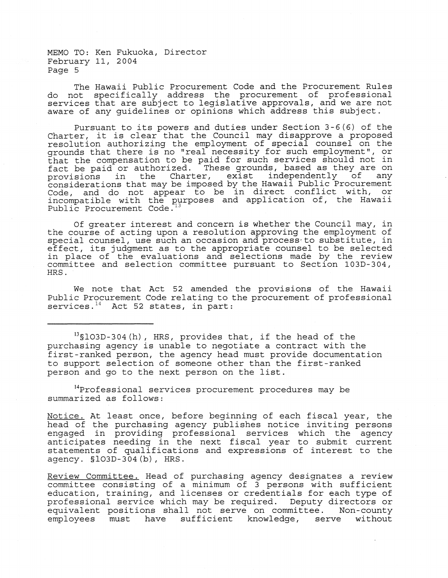The Hawaii Public Procurement Code and the Procurement Rules do not specifically address the procurement of professional services that are subject to legislative approvals, and we are not aware of any guidelines or opinions which address this subject.

Pursuant to its powers and duties under Section 3-6(6) of the Charter, it is clear that the Council may disapprove a proposed resolution authorizing the employment of special counsel on the grounds that there is no "real necessity for such employment", or that the compensation to be paid for such services should not in fact be paid or authorized. These grounds, based as they are on<br>provisions in the Charter, exist independently of any provisions in the Charter, exist independently of considerations that may be imposed by the Hawaii Public Procurement Code, and do not appear to be in direct conflict with, or incompatible with the purposes and application of, the Hawaii Public Procurement Code.<sup>13</sup>

Of greater interest and concern is whether the Council may, in the course of acting upon a resolution approving the employment of special counsel, use such an occasion and process-to substitute, in effect, its judgment as to the appropriate counsel to be selected in place of the evaluations and selections made by the review committee and selection committee pursuant to Section 103D-304, HRS.

We note that Act 52 amended the provisions of the Hawaii Public Procurement Code relating to the procurement of professional services.<sup>14</sup> Act 52 states, in part:

 $13$ §103D-304(h), HRS, provides that, if the head of the purchasing agency is unable to negotiate a contract with the first-ranked person, the agency head must provide documentation to support selection of someone other than the first-ranked person and go to the next person on the list.

<sup>14</sup>Professional services procurement procedures may be summarized as follows:

Notice. At least once, before beginning of each fiscal year, the head of the purchasing agency publishes notice inviting persons engaged in providing professional services which the agency anticipates needing in the next fiscal year to submit current statements of qualifications and expressions of interest to the agency. §103D-304(b) , HRS.

Review Committee. Head of purchasing agency designates a review committee consisting of a minimum of 3 persons with sufficient education, training, and licenses or credentials for each type of professional service which may be required. Deputy directors or equivalent positions shall not serve on committee. Non-county employees must have sufficient knowledge, serve without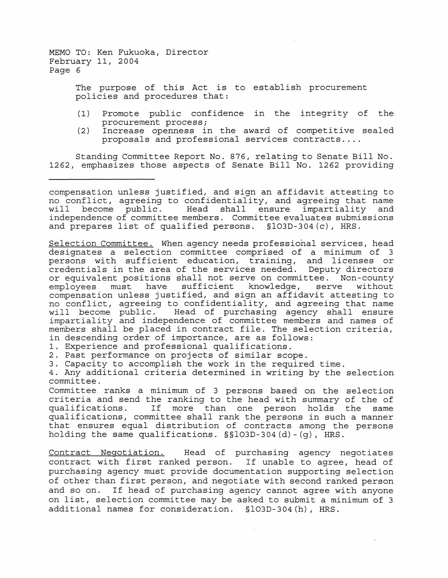> The purpose of this Act is to establish procurement policies and procedures that:

- (1) Promote public confidence in the integrity of the procurement process;
- (2) Increase openness in the award of competitive sealed proposals and professional services contracts ....

Standing Committee Report No. 876, relating to Senate Bill No. 1262, emphasizes those aspects of Senate Bill No. 1262 providing

compensation unless justified, and sign an affidavit attesting to no conflict, agreeing to confidentiality, and agreeing that name<br>will become public. Head shall ensure impartiality and shall ensure impartiality independence of committee members. Committee evaluates submissions and prepares list of qualified persons. §103D-304(c) , HRS.

Selection Committee. When agency needs professional services, head designates a selection committee comprised of a minimum of 3 persons with sufficient education, training, and licenses or credentials in the area of the services needed. Deputy directors or equivalent positions shall not serve on committee. Non-county<br>employees must have sufficient knowledge, serve without sufficient knowledge, compensation unless justified, and sign an affidavit attesting to no conflict, agreeing to confidentiality, and agreeing that name<br>will become public. Head of purchasing agency shall ensure will become public. Head of purchasing agency shall ensure impartiality and independence of committee members and names of members shall be placed in contract file. The selection criteria, in descending order of importance, are as follows:

1. Experience and professional qualifications.

2. Past performance on projects of similar scope.

3. Capacity to accomplish the work in the required time.

4. Any additional criteria determined in writing by the selection committee.

Committee ranks a minimum of 3 persons based on the selection criteria and send the ranking to the head with summary of the of<br>qualifications. If more than one person holds the same If more than one person holds the same qualifications, committee shall rank the persons in such a manner that ensures equal distribution of contracts among the persons holding the same qualifications. §§103D-304(d)-(g), HRS.

Contract Negotiation. Head of purchasing agency negotiates contract with first ranked person. If unable to agree, head of purchasing agency must provide documentation supporting selection of other than first person, and negotiate with second ranked person and so on. If head of purchasing agency cannot agree with anyone on list, selection committee may be asked to submit a minimum of 3 additional names for consideration. \$103D-304(h), HRS.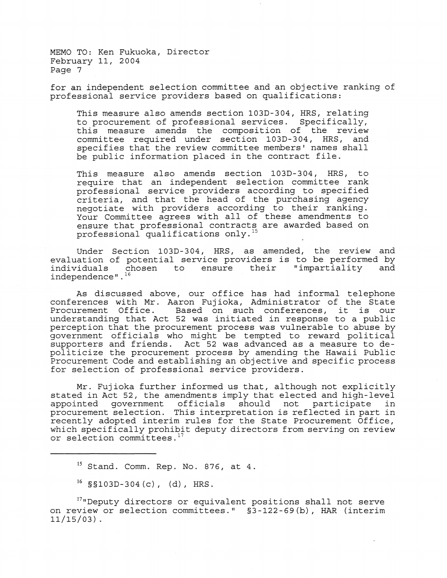for an independent selection committee and an objective ranking of professional service providers based on qualifications:

This measure also amends section 103D-304, HRS, relating to procurement of professional services. Specifically, this measure amends the composition of the review committee required under section 103D-304, HRS, and specifies that the review committee members' names shall be public information placed in the contract file.

This measure also amends section 103D-304, HRS, to require that an independent selection committee rank professional service providers according to specified criteria, and that the head of the purchasing agency negotiate with providers according to their ranking. Your Committee agrees with all of these amendments to ensure that professional contracts are awarded based on professional qualifications only.<sup>15</sup>

Under Section 103D-304, HRS, as amended, the review and evaluation of potential service providers is to be performed by<br>individuals chosen to ensure their "impartiality and individuals chosen to ensure their "impartiality and independence". $^{16}$ 

As discussed above, our office has had informal telephone conferences with Mr. Aaron Fuj ioka, Administrator of the State conferences with Mr. Aaron Fujioka, Administrator of the state<br>Procurement Office. Based on such conferences, it is our understanding that Act 52 was initiated in response to a public perception that the procurement process was vulnerable to abuse by government officials who might be tempted to reward political supporters and friends. Act 52 was advanced as a measure to depoliticize the procurement process by amending the Hawaii Public Procurement Code and establishing an objective and specific process for selection of professional service providers.

Mr. Fujioka further informed us that, although not explicitly stated in Act 52, the amendments imply that elected and high-level appointed government officials should not participate in appointed government officials should not participate in recently adopted interim rules for the State Procurement Office, which specifically prohibit deputy directors from serving on review or selection committees.  $17$ 

<sup>17</sup>"Deputy directors or equivalent positions shall not serve on review or selection committees." §3-122-69(b) , HAR (interim  $11/15/03$ ).

<sup>&</sup>lt;sup>15</sup> Stand. Comm. Rep. No. 876, at 4.

 $^{16}$  §§103D-304 (c), (d), HRS.